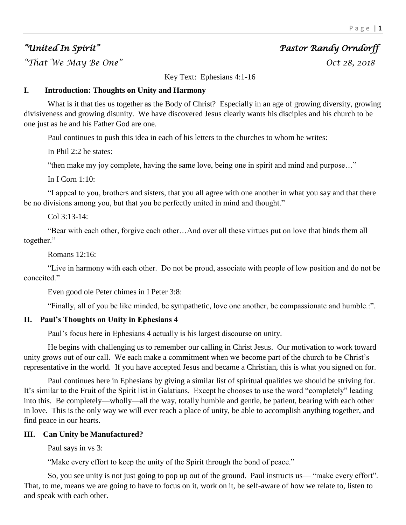# *"United In Spirit" Pastor Randy Orndorff*

*"That We May Be One" Oct 28, 2018* 

Key Text: Ephesians 4:1-16

# **I. Introduction: Thoughts on Unity and Harmony**

What is it that ties us together as the Body of Christ? Especially in an age of growing diversity, growing divisiveness and growing disunity. We have discovered Jesus clearly wants his disciples and his church to be one just as he and his Father God are one.

Paul continues to push this idea in each of his letters to the churches to whom he writes:

In Phil 2:2 he states:

"then make my joy complete, having the same love, being one in spirit and mind and purpose…"

In I Corn 1:10:

"I appeal to you, brothers and sisters, that you all agree with one another in what you say and that there be no divisions among you, but that you be perfectly united in mind and thought."

Col 3:13-14:

"Bear with each other, forgive each other…And over all these virtues put on love that binds them all together."

Romans 12:16:

"Live in harmony with each other. Do not be proud, associate with people of low position and do not be conceited."

Even good ole Peter chimes in I Peter 3:8:

"Finally, all of you be like minded, be sympathetic, love one another, be compassionate and humble.:".

### **II. Paul's Thoughts on Unity in Ephesians 4**

Paul's focus here in Ephesians 4 actually is his largest discourse on unity.

He begins with challenging us to remember our calling in Christ Jesus. Our motivation to work toward unity grows out of our call. We each make a commitment when we become part of the church to be Christ's representative in the world. If you have accepted Jesus and became a Christian, this is what you signed on for.

Paul continues here in Ephesians by giving a similar list of spiritual qualities we should be striving for. It's similar to the Fruit of the Spirit list in Galatians. Except he chooses to use the word "completely" leading into this. Be completely—wholly—all the way, totally humble and gentle, be patient, bearing with each other in love. This is the only way we will ever reach a place of unity, be able to accomplish anything together, and find peace in our hearts.

### **III. Can Unity be Manufactured?**

Paul says in vs 3:

"Make every effort to keep the unity of the Spirit through the bond of peace."

So, you see unity is not just going to pop up out of the ground. Paul instructs us— "make every effort". That, to me, means we are going to have to focus on it, work on it, be self-aware of how we relate to, listen to and speak with each other.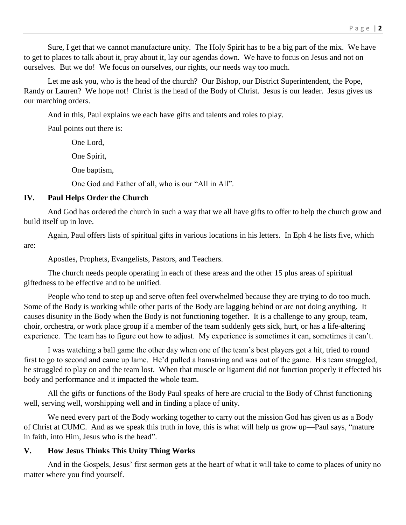Sure, I get that we cannot manufacture unity. The Holy Spirit has to be a big part of the mix. We have to get to places to talk about it, pray about it, lay our agendas down. We have to focus on Jesus and not on ourselves. But we do! We focus on ourselves, our rights, our needs way too much.

Let me ask you, who is the head of the church? Our Bishop, our District Superintendent, the Pope, Randy or Lauren? We hope not! Christ is the head of the Body of Christ. Jesus is our leader. Jesus gives us our marching orders.

And in this, Paul explains we each have gifts and talents and roles to play.

Paul points out there is:

One Lord, One Spirit, One baptism, One God and Father of all, who is our "All in All".

# **IV. Paul Helps Order the Church**

And God has ordered the church in such a way that we all have gifts to offer to help the church grow and build itself up in love.

Again, Paul offers lists of spiritual gifts in various locations in his letters. In Eph 4 he lists five, which are:

Apostles, Prophets, Evangelists, Pastors, and Teachers.

The church needs people operating in each of these areas and the other 15 plus areas of spiritual giftedness to be effective and to be unified.

People who tend to step up and serve often feel overwhelmed because they are trying to do too much. Some of the Body is working while other parts of the Body are lagging behind or are not doing anything. It causes disunity in the Body when the Body is not functioning together. It is a challenge to any group, team, choir, orchestra, or work place group if a member of the team suddenly gets sick, hurt, or has a life-altering experience. The team has to figure out how to adjust. My experience is sometimes it can, sometimes it can't.

I was watching a ball game the other day when one of the team's best players got a hit, tried to round first to go to second and came up lame. He'd pulled a hamstring and was out of the game. His team struggled, he struggled to play on and the team lost. When that muscle or ligament did not function properly it effected his body and performance and it impacted the whole team.

All the gifts or functions of the Body Paul speaks of here are crucial to the Body of Christ functioning well, serving well, worshipping well and in finding a place of unity.

We need every part of the Body working together to carry out the mission God has given us as a Body of Christ at CUMC. And as we speak this truth in love, this is what will help us grow up—Paul says, "mature in faith, into Him, Jesus who is the head".

# **V. How Jesus Thinks This Unity Thing Works**

And in the Gospels, Jesus' first sermon gets at the heart of what it will take to come to places of unity no matter where you find yourself.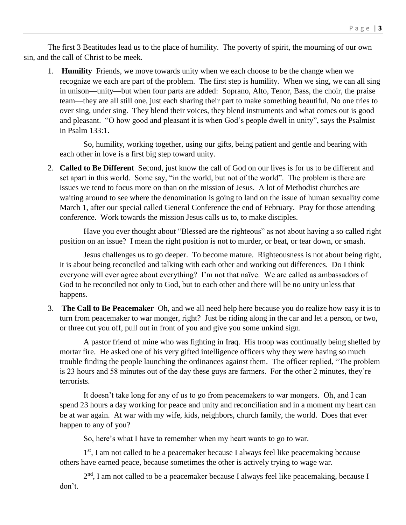The first 3 Beatitudes lead us to the place of humility. The poverty of spirit, the mourning of our own sin, and the call of Christ to be meek.

1. **Humility** Friends, we move towards unity when we each choose to be the change when we recognize we each are part of the problem. The first step is humility. When we sing, we can all sing in unison—unity—but when four parts are added: Soprano, Alto, Tenor, Bass, the choir, the praise team—they are all still one, just each sharing their part to make something beautiful, No one tries to over sing, under sing. They blend their voices, they blend instruments and what comes out is good and pleasant. "O how good and pleasant it is when God's people dwell in unity", says the Psalmist in Psalm 133:1.

So, humility, working together, using our gifts, being patient and gentle and bearing with each other in love is a first big step toward unity.

2. **Called to Be Different** Second, just know the call of God on our lives is for us to be different and set apart in this world. Some say, "in the world, but not of the world". The problem is there are issues we tend to focus more on than on the mission of Jesus. A lot of Methodist churches are waiting around to see where the denomination is going to land on the issue of human sexuality come March 1, after our special called General Conference the end of February. Pray for those attending conference. Work towards the mission Jesus calls us to, to make disciples.

Have you ever thought about "Blessed are the righteous" as not about having a so called right position on an issue? I mean the right position is not to murder, or beat, or tear down, or smash.

Jesus challenges us to go deeper. To become mature. Righteousness is not about being right, it is about being reconciled and talking with each other and working out differences. Do I think everyone will ever agree about everything? I'm not that naïve. We are called as ambassadors of God to be reconciled not only to God, but to each other and there will be no unity unless that happens.

3. **The Call to Be Peacemaker** Oh, and we all need help here because you do realize how easy it is to turn from peacemaker to war monger, right? Just be riding along in the car and let a person, or two, or three cut you off, pull out in front of you and give you some unkind sign.

A pastor friend of mine who was fighting in Iraq. His troop was continually being shelled by mortar fire. He asked one of his very gifted intelligence officers why they were having so much trouble finding the people launching the ordinances against them. The officer replied, "The problem is 23 hours and 58 minutes out of the day these guys are farmers. For the other 2 minutes, they're terrorists.

It doesn't take long for any of us to go from peacemakers to war mongers. Oh, and I can spend 23 hours a day working for peace and unity and reconciliation and in a moment my heart can be at war again. At war with my wife, kids, neighbors, church family, the world. Does that ever happen to any of you?

So, here's what I have to remember when my heart wants to go to war.

1<sup>st</sup>, I am not called to be a peacemaker because I always feel like peacemaking because others have earned peace, because sometimes the other is actively trying to wage war.

2<sup>nd</sup>, I am not called to be a peacemaker because I always feel like peacemaking, because I don't.